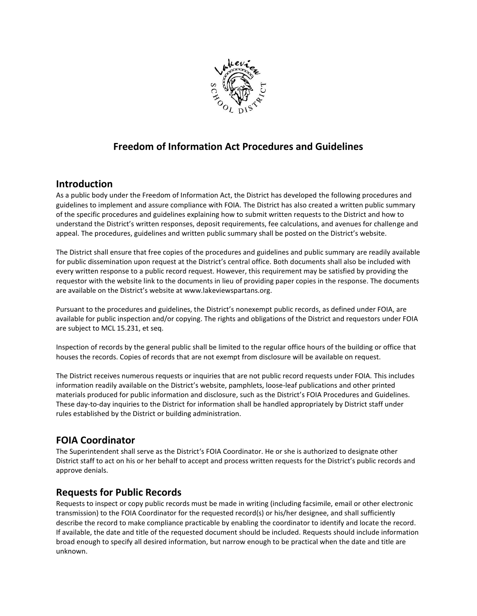

# **Freedom of Information Act Procedures and Guidelines**

## **Introduction**

As a public body under the Freedom of Information Act, the District has developed the following procedures and guidelines to implement and assure compliance with FOIA. The District has also created a written public summary of the specific procedures and guidelines explaining how to submit written requests to the District and how to understand the District's written responses, deposit requirements, fee calculations, and avenues for challenge and appeal. The procedures, guidelines and written public summary shall be posted on the District's website.

The District shall ensure that free copies of the procedures and guidelines and public summary are readily available for public dissemination upon request at the District's central office. Both documents shall also be included with every written response to a public record request. However, this requirement may be satisfied by providing the requestor with the website link to the documents in lieu of providing paper copies in the response. The documents are available on the District's website at www.lakeviewspartans.org.

Pursuant to the procedures and guidelines, the District's nonexempt public records, as defined under FOIA, are available for public inspection and/or copying. The rights and obligations of the District and requestors under FOIA are subject to MCL 15.231, et seq.

Inspection of records by the general public shall be limited to the regular office hours of the building or office that houses the records. Copies of records that are not exempt from disclosure will be available on request.

The District receives numerous requests or inquiries that are not public record requests under FOIA. This includes information readily available on the District's website, pamphlets, loose-leaf publications and other printed materials produced for public information and disclosure, such as the District's FOIA Procedures and Guidelines. These day-to-day inquiries to the District for information shall be handled appropriately by District staff under rules established by the District or building administration.

# **FOIA Coordinator**

The Superintendent shall serve as the District's FOIA Coordinator. He or she is authorized to designate other District staff to act on his or her behalf to accept and process written requests for the District's public records and approve denials.

# **Requests for Public Records**

Requests to inspect or copy public records must be made in writing (including facsimile, email or other electronic transmission) to the FOIA Coordinator for the requested record(s) or his/her designee, and shall sufficiently describe the record to make compliance practicable by enabling the coordinator to identify and locate the record. If available, the date and title of the requested document should be included. Requests should include information broad enough to specify all desired information, but narrow enough to be practical when the date and title are unknown.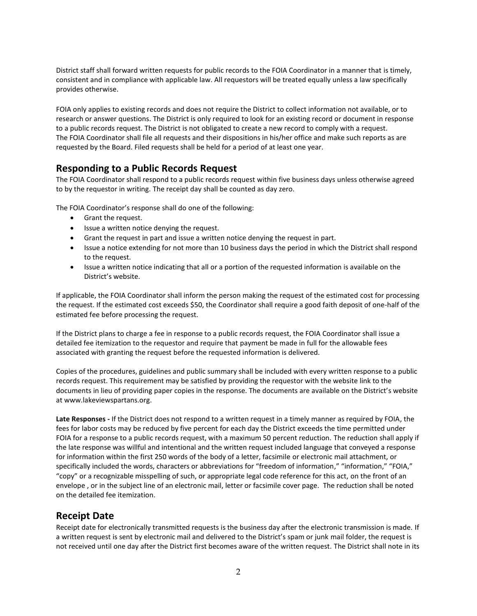District staff shall forward written requests for public records to the FOIA Coordinator in a manner that is timely, consistent and in compliance with applicable law. All requestors will be treated equally unless a law specifically provides otherwise.

FOIA only applies to existing records and does not require the District to collect information not available, or to research or answer questions. The District is only required to look for an existing record or document in response to a public records request. The District is not obligated to create a new record to comply with a request. The FOIA Coordinator shall file all requests and their dispositions in his/her office and make such reports as are requested by the Board. Filed requests shall be held for a period of at least one year.

## **Responding to a Public Records Request**

The FOIA Coordinator shall respond to a public records request within five business days unless otherwise agreed to by the requestor in writing. The receipt day shall be counted as day zero.

The FOIA Coordinator's response shall do one of the following:

- Grant the request.
- Issue a written notice denying the request.
- Grant the request in part and issue a written notice denying the request in part.
- Issue a notice extending for not more than 10 business days the period in which the District shall respond to the request.
- Issue a written notice indicating that all or a portion of the requested information is available on the District's website.

If applicable, the FOIA Coordinator shall inform the person making the request of the estimated cost for processing the request. If the estimated cost exceeds \$50, the Coordinator shall require a good faith deposit of one-half of the estimated fee before processing the request.

If the District plans to charge a fee in response to a public records request, the FOIA Coordinator shall issue a detailed fee itemization to the requestor and require that payment be made in full for the allowable fees associated with granting the request before the requested information is delivered.

Copies of the procedures, guidelines and public summary shall be included with every written response to a public records request. This requirement may be satisfied by providing the requestor with the website link to the documents in lieu of providing paper copies in the response. The documents are available on the District's website at www.lakeviewspartans.org.

**Late Responses -** If the District does not respond to a written request in a timely manner as required by FOIA, the fees for labor costs may be reduced by five percent for each day the District exceeds the time permitted under FOIA for a response to a public records request, with a maximum 50 percent reduction. The reduction shall apply if the late response was willful and intentional and the written request included language that conveyed a response for information within the first 250 words of the body of a letter, facsimile or electronic mail attachment, or specifically included the words, characters or abbreviations for "freedom of information," "information," "FOIA," "copy" or a recognizable misspelling of such, or appropriate legal code reference for this act, on the front of an envelope , or in the subject line of an electronic mail, letter or facsimile cover page. The reduction shall be noted on the detailed fee itemization.

#### **Receipt Date**

Receipt date for electronically transmitted requests is the business day after the electronic transmission is made. If a written request is sent by electronic mail and delivered to the District's spam or junk mail folder, the request is not received until one day after the District first becomes aware of the written request. The District shall note in its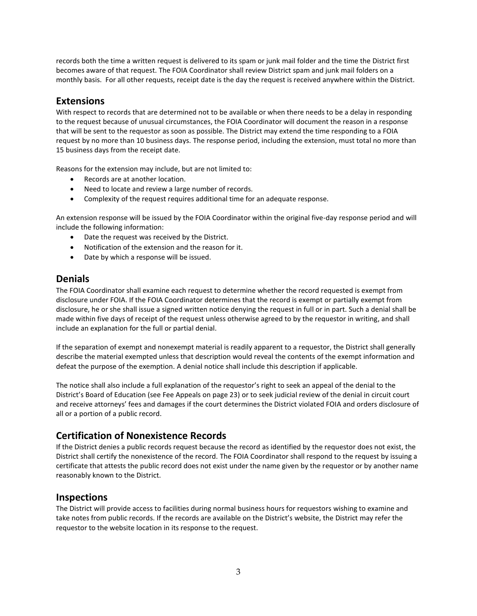records both the time a written request is delivered to its spam or junk mail folder and the time the District first becomes aware of that request. The FOIA Coordinator shall review District spam and junk mail folders on a monthly basis. For all other requests, receipt date is the day the request is received anywhere within the District.

#### **Extensions**

With respect to records that are determined not to be available or when there needs to be a delay in responding to the request because of unusual circumstances, the FOIA Coordinator will document the reason in a response that will be sent to the requestor as soon as possible. The District may extend the time responding to a FOIA request by no more than 10 business days. The response period, including the extension, must total no more than 15 business days from the receipt date.

Reasons for the extension may include, but are not limited to:

- Records are at another location.
- Need to locate and review a large number of records.
- Complexity of the request requires additional time for an adequate response.

An extension response will be issued by the FOIA Coordinator within the original five-day response period and will include the following information:

- Date the request was received by the District.
- Notification of the extension and the reason for it.
- Date by which a response will be issued.

## **Denials**

The FOIA Coordinator shall examine each request to determine whether the record requested is exempt from disclosure under FOIA. If the FOIA Coordinator determines that the record is exempt or partially exempt from disclosure, he or she shall issue a signed written notice denying the request in full or in part. Such a denial shall be made within five days of receipt of the request unless otherwise agreed to by the requestor in writing, and shall include an explanation for the full or partial denial.

If the separation of exempt and nonexempt material is readily apparent to a requestor, the District shall generally describe the material exempted unless that description would reveal the contents of the exempt information and defeat the purpose of the exemption. A denial notice shall include this description if applicable.

The notice shall also include a full explanation of the requestor's right to seek an appeal of the denial to the District's Board of Education (see Fee Appeals on page 23) or to seek judicial review of the denial in circuit court and receive attorneys' fees and damages if the court determines the District violated FOIA and orders disclosure of all or a portion of a public record.

# **Certification of Nonexistence Records**

If the District denies a public records request because the record as identified by the requestor does not exist, the District shall certify the nonexistence of the record. The FOIA Coordinator shall respond to the request by issuing a certificate that attests the public record does not exist under the name given by the requestor or by another name reasonably known to the District.

#### **Inspections**

The District will provide access to facilities during normal business hours for requestors wishing to examine and take notes from public records. If the records are available on the District's website, the District may refer the requestor to the website location in its response to the request.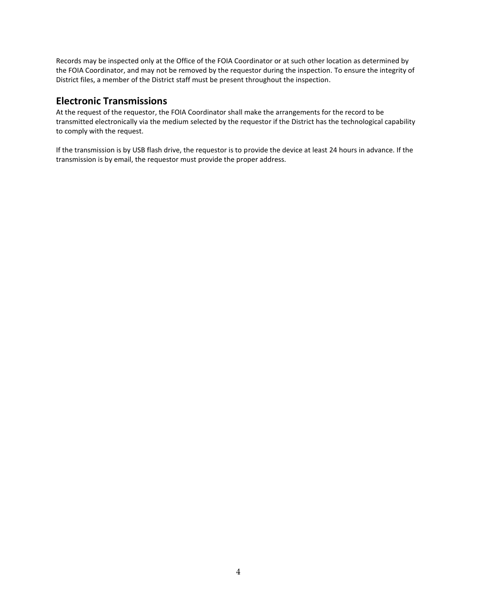Records may be inspected only at the Office of the FOIA Coordinator or at such other location as determined by the FOIA Coordinator, and may not be removed by the requestor during the inspection. To ensure the integrity of District files, a member of the District staff must be present throughout the inspection.

#### **Electronic Transmissions**

At the request of the requestor, the FOIA Coordinator shall make the arrangements for the record to be transmitted electronically via the medium selected by the requestor if the District has the technological capability to comply with the request.

If the transmission is by USB flash drive, the requestor is to provide the device at least 24 hours in advance. If the transmission is by email, the requestor must provide the proper address.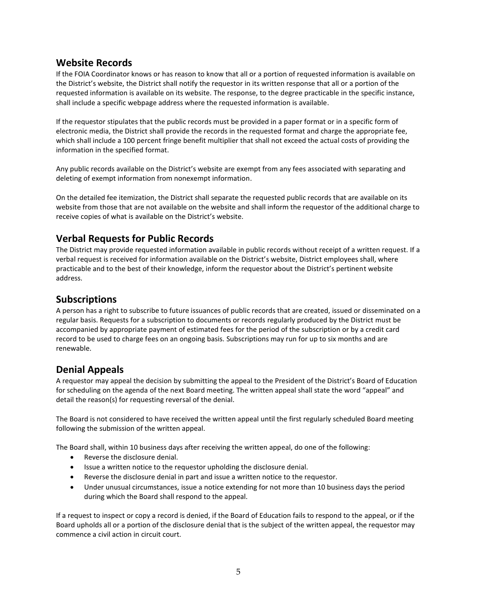#### **Website Records**

If the FOIA Coordinator knows or has reason to know that all or a portion of requested information is available on the District's website, the District shall notify the requestor in its written response that all or a portion of the requested information is available on its website. The response, to the degree practicable in the specific instance, shall include a specific webpage address where the requested information is available.

If the requestor stipulates that the public records must be provided in a paper format or in a specific form of electronic media, the District shall provide the records in the requested format and charge the appropriate fee, which shall include a 100 percent fringe benefit multiplier that shall not exceed the actual costs of providing the information in the specified format.

Any public records available on the District's website are exempt from any fees associated with separating and deleting of exempt information from nonexempt information.

On the detailed fee itemization, the District shall separate the requested public records that are available on its website from those that are not available on the website and shall inform the requestor of the additional charge to receive copies of what is available on the District's website.

# **Verbal Requests for Public Records**

The District may provide requested information available in public records without receipt of a written request. If a verbal request is received for information available on the District's website, District employees shall, where practicable and to the best of their knowledge, inform the requestor about the District's pertinent website address.

## **Subscriptions**

A person has a right to subscribe to future issuances of public records that are created, issued or disseminated on a regular basis. Requests for a subscription to documents or records regularly produced by the District must be accompanied by appropriate payment of estimated fees for the period of the subscription or by a credit card record to be used to charge fees on an ongoing basis. Subscriptions may run for up to six months and are renewable.

#### **Denial Appeals**

A requestor may appeal the decision by submitting the appeal to the President of the District's Board of Education for scheduling on the agenda of the next Board meeting. The written appeal shall state the word "appeal" and detail the reason(s) for requesting reversal of the denial.

The Board is not considered to have received the written appeal until the first regularly scheduled Board meeting following the submission of the written appeal.

The Board shall, within 10 business days after receiving the written appeal, do one of the following:

- Reverse the disclosure denial.
- Issue a written notice to the requestor upholding the disclosure denial.
- Reverse the disclosure denial in part and issue a written notice to the requestor.
- Under unusual circumstances, issue a notice extending for not more than 10 business days the period during which the Board shall respond to the appeal.

If a request to inspect or copy a record is denied, if the Board of Education fails to respond to the appeal, or if the Board upholds all or a portion of the disclosure denial that is the subject of the written appeal, the requestor may commence a civil action in circuit court.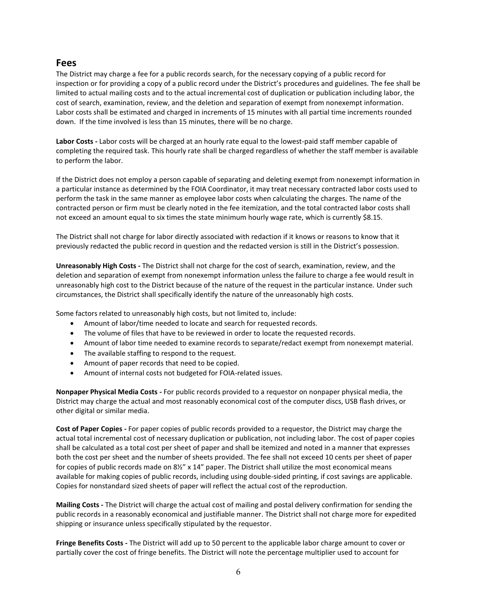#### **Fees**

The District may charge a fee for a public records search, for the necessary copying of a public record for inspection or for providing a copy of a public record under the District's procedures and guidelines. The fee shall be limited to actual mailing costs and to the actual incremental cost of duplication or publication including labor, the cost of search, examination, review, and the deletion and separation of exempt from nonexempt information. Labor costs shall be estimated and charged in increments of 15 minutes with all partial time increments rounded down. If the time involved is less than 15 minutes, there will be no charge.

**Labor Costs -** Labor costs will be charged at an hourly rate equal to the lowest-paid staff member capable of completing the required task. This hourly rate shall be charged regardless of whether the staff member is available to perform the labor.

If the District does not employ a person capable of separating and deleting exempt from nonexempt information in a particular instance as determined by the FOIA Coordinator, it may treat necessary contracted labor costs used to perform the task in the same manner as employee labor costs when calculating the charges. The name of the contracted person or firm must be clearly noted in the fee itemization, and the total contracted labor costs shall not exceed an amount equal to six times the state minimum hourly wage rate, which is currently \$8.15.

The District shall not charge for labor directly associated with redaction if it knows or reasons to know that it previously redacted the public record in question and the redacted version is still in the District's possession.

**Unreasonably High Costs -** The District shall not charge for the cost of search, examination, review, and the deletion and separation of exempt from nonexempt information unless the failure to charge a fee would result in unreasonably high cost to the District because of the nature of the request in the particular instance. Under such circumstances, the District shall specifically identify the nature of the unreasonably high costs.

Some factors related to unreasonably high costs, but not limited to, include:

- Amount of labor/time needed to locate and search for requested records.
- The volume of files that have to be reviewed in order to locate the requested records.
- Amount of labor time needed to examine records to separate/redact exempt from nonexempt material.
- The available staffing to respond to the request.
- Amount of paper records that need to be copied.
- Amount of internal costs not budgeted for FOIA-related issues.

**Nonpaper Physical Media Costs -** For public records provided to a requestor on nonpaper physical media, the District may charge the actual and most reasonably economical cost of the computer discs, USB flash drives, or other digital or similar media.

**Cost of Paper Copies -** For paper copies of public records provided to a requestor, the District may charge the actual total incremental cost of necessary duplication or publication, not including labor. The cost of paper copies shall be calculated as a total cost per sheet of paper and shall be itemized and noted in a manner that expresses both the cost per sheet and the number of sheets provided. The fee shall not exceed 10 cents per sheet of paper for copies of public records made on 8½" x 14" paper. The District shall utilize the most economical means available for making copies of public records, including using double-sided printing, if cost savings are applicable. Copies for nonstandard sized sheets of paper will reflect the actual cost of the reproduction.

**Mailing Costs -** The District will charge the actual cost of mailing and postal delivery confirmation for sending the public records in a reasonably economical and justifiable manner. The District shall not charge more for expedited shipping or insurance unless specifically stipulated by the requestor.

**Fringe Benefits Costs -** The District will add up to 50 percent to the applicable labor charge amount to cover or partially cover the cost of fringe benefits. The District will note the percentage multiplier used to account for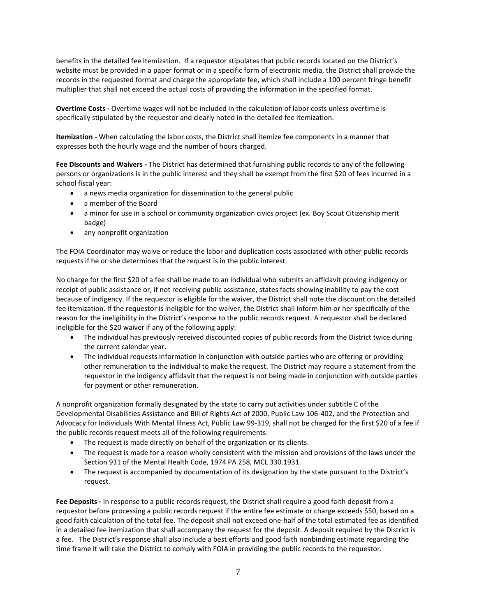benefits in the detailed fee itemization. If a requestor stipulates that public records located on the District's website must be provided in a paper format or in a specific form of electronic media, the District shall provide the records in the requested format and charge the appropriate fee, which shall include a 100 percent fringe benefit multiplier that shall not exceed the actual costs of providing the information in the specified format.

**Overtime Costs -** Overtime wages will not be included in the calculation of labor costs unless overtime is specifically stipulated by the requestor and clearly noted in the detailed fee itemization.

**Itemization -** When calculating the labor costs, the District shall itemize fee components in a manner that expresses both the hourly wage and the number of hours charged.

**Fee Discounts and Waivers -** The District has determined that furnishing public records to any of the following persons or organizations is in the public interest and they shall be exempt from the first \$20 of fees incurred in a school fiscal year:

- a news media organization for dissemination to the general public
- a member of the Board
- a minor for use in a school or community organization civics project (ex. Boy Scout Citizenship merit badge)
- any nonprofit organization

The FOIA Coordinator may waive or reduce the labor and duplication costs associated with other public records requests if he or she determines that the request is in the public interest.

No charge for the first \$20 of a fee shall be made to an individual who submits an affidavit proving indigency or receipt of public assistance or, if not receiving public assistance, states facts showing inability to pay the cost because of indigency. If the requestor is eligible for the waiver, the District shall note the discount on the detailed fee itemization. If the requestor is ineligible for the waiver, the District shall inform him or her specifically of the reason for the ineligibility in the District's response to the public records request. A requestor shall be declared ineligible for the \$20 waiver if any of the following apply:

- The individual has previously received discounted copies of public records from the District twice during the current calendar year.
- The individual requests information in conjunction with outside parties who are offering or providing other remuneration to the individual to make the request. The District may require a statement from the requestor in the indigency affidavit that the request is not being made in conjunction with outside parties for payment or other remuneration.

A nonprofit organization formally designated by the state to carry out activities under subtitle C of the Developmental Disabilities Assistance and Bill of Rights Act of 2000, Public Law 106-402, and the Protection and Advocacy for Individuals With Mental Illness Act, Public Law 99-319, shall not be charged for the first \$20 of a fee if the public records request meets all of the following requirements:

- The request is made directly on behalf of the organization or its clients.
- The request is made for a reason wholly consistent with the mission and provisions of the laws under the Section 931 of the Mental Health Code, 1974 PA 258, MCL 330.1931.
- The request is accompanied by documentation of its designation by the state pursuant to the District's request.

**Fee Deposits -** In response to a public records request, the District shall require a good faith deposit from a requestor before processing a public records request if the entire fee estimate or charge exceeds \$50, based on a good faith calculation of the total fee. The deposit shall not exceed one-half of the total estimated fee as identified in a detailed fee itemization that shall accompany the request for the deposit. A deposit required by the District is a fee. The District's response shall also include a best efforts and good faith nonbinding estimate regarding the time frame it will take the District to comply with FOIA in providing the public records to the requestor.